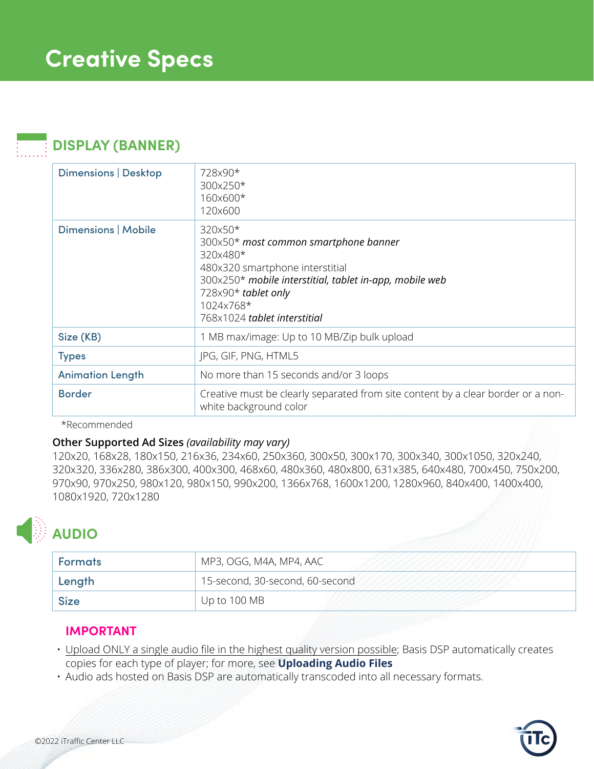### **DISPLAY (BANNER)**

| Dimensions   Desktop    | 728x90*<br>300x250*<br>160x600*<br>120×600                                                                                                                                                                                     |
|-------------------------|--------------------------------------------------------------------------------------------------------------------------------------------------------------------------------------------------------------------------------|
| Dimensions   Mobile     | 320x50*<br>300x50* most common smartphone banner<br>320x480*<br>480x320 smartphone interstitial<br>300x250* mobile interstitial, tablet in-app, mobile web<br>728x90* tablet only<br>1024x768*<br>768x1024 tablet interstitial |
| Size (KB)               | 1 MB max/image: Up to 10 MB/Zip bulk upload                                                                                                                                                                                    |
| <b>Types</b>            | JPG, GIF, PNG, HTML5                                                                                                                                                                                                           |
| <b>Animation Length</b> | No more than 15 seconds and/or 3 loops                                                                                                                                                                                         |
| <b>Border</b>           | Creative must be clearly separated from site content by a clear border or a non-<br>white background color                                                                                                                     |

#### \*Recommended

#### **Other Supported Ad Sizes** *(availability may vary)*

120x20, 168x28, 180x150, 216x36, 234x60, 250x360, 300x50, 300x170, 300x340, 300x1050, 320x240, 320x320, 336x280, 386x300, 400x300, 468x60, 480x360, 480x800, 631x385, 640x480, 700x450, 750x200, 970x90, 970x250, 980x120, 980x150, 990x200, 1366x768, 1600x1200, 1280x960, 840x400, 1400x400, 1080x1920, 720x1280

# **AUDIO**

| <b>Formats</b> | MP3, OGG, M4A, MP4, AAC         |
|----------------|---------------------------------|
| ' Length       | 15-second, 30-second, 60-second |
| <b>Size</b>    | Up to 100 MB                    |

### **IMPORTANT**

- Upload ONLY a single audio file in the highest quality version possible; Basis DSP automatically creates copies for each type of player; for more, see **[Uploading Audio Files](https://dspsupport.basis.net/my_ads/creating_ads/uploading_audio_ads.htm)**
- Audio ads hosted on Basis DSP are automatically transcoded into all necessary formats.

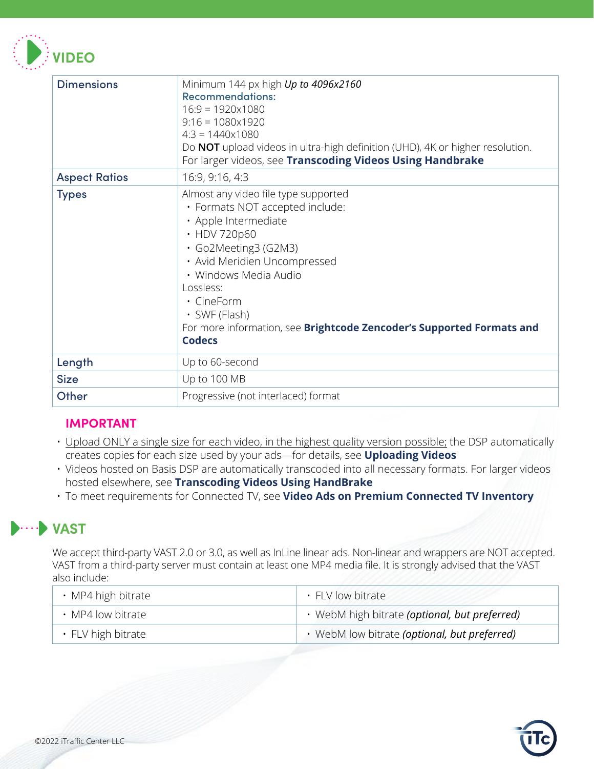

| <b>Dimensions</b>    | Minimum 144 px high Up to 4096x2160<br><b>Recommendations:</b><br>$16:9 = 1920 \times 1080$<br>$9:16 = 1080 \times 1920$<br>$4:3 = 1440 \times 1080$<br>Do NOT upload videos in ultra-high definition (UHD), 4K or higher resolution.<br>For larger videos, see Transcoding Videos Using Handbrake                                           |
|----------------------|----------------------------------------------------------------------------------------------------------------------------------------------------------------------------------------------------------------------------------------------------------------------------------------------------------------------------------------------|
| <b>Aspect Ratios</b> | 16:9, 9:16, 4:3                                                                                                                                                                                                                                                                                                                              |
| <b>Types</b>         | Almost any video file type supported<br>· Formats NOT accepted include:<br>· Apple Intermediate<br>• HDV 720p60<br>· Go2Meeting3 (G2M3)<br>· Avid Meridien Uncompressed<br>· Windows Media Audio<br>Lossless:<br>· CineForm<br>$\cdot$ SWF (Flash)<br>For more information, see Brightcode Zencoder's Supported Formats and<br><b>Codecs</b> |
| Length               | Up to 60-second                                                                                                                                                                                                                                                                                                                              |
| <b>Size</b>          | Up to 100 MB                                                                                                                                                                                                                                                                                                                                 |
| Other                | Progressive (not interlaced) format                                                                                                                                                                                                                                                                                                          |

### **IMPORTANT**

- Upload ONLY a single size for each video, in the highest quality version possible; the DSP automatically creates copies for each size used by your ads—for details, see **[Uploading Videos](https://dspsupport.basis.net/my_ads/creating_ads/uploading_video_ads.htm)**
- Videos hosted on Basis DSP are automatically transcoded into all necessary formats. For larger videos hosted elsewhere, see **[Transcoding Videos Using HandBrake](https://dspsupport.basis.net/my_ads/creating_ads/transcoding_videos_handbrake.htm)**
- To meet requirements for Connected TV, see **[Video Ads on Premium Connected TV Inventory](https://dspsupport.basis.net/my_ads/ad_quality/video_on_premiumctv.htm)**

### **VAST**

We accept third-party VAST 2.0 or 3.0, as well as InLine linear ads. Non-linear and wrappers are NOT accepted. VAST from a third-party server must contain at least one MP4 media file. It is strongly advised that the VAST also include:

| $\cdot$ MP4 high bitrate | · FLV low bitrate                             |
|--------------------------|-----------------------------------------------|
| • MP4 low bitrate        | · WebM high bitrate (optional, but preferred) |
| $\cdot$ FLV high bitrate | · WebM low bitrate (optional, but preferred)  |